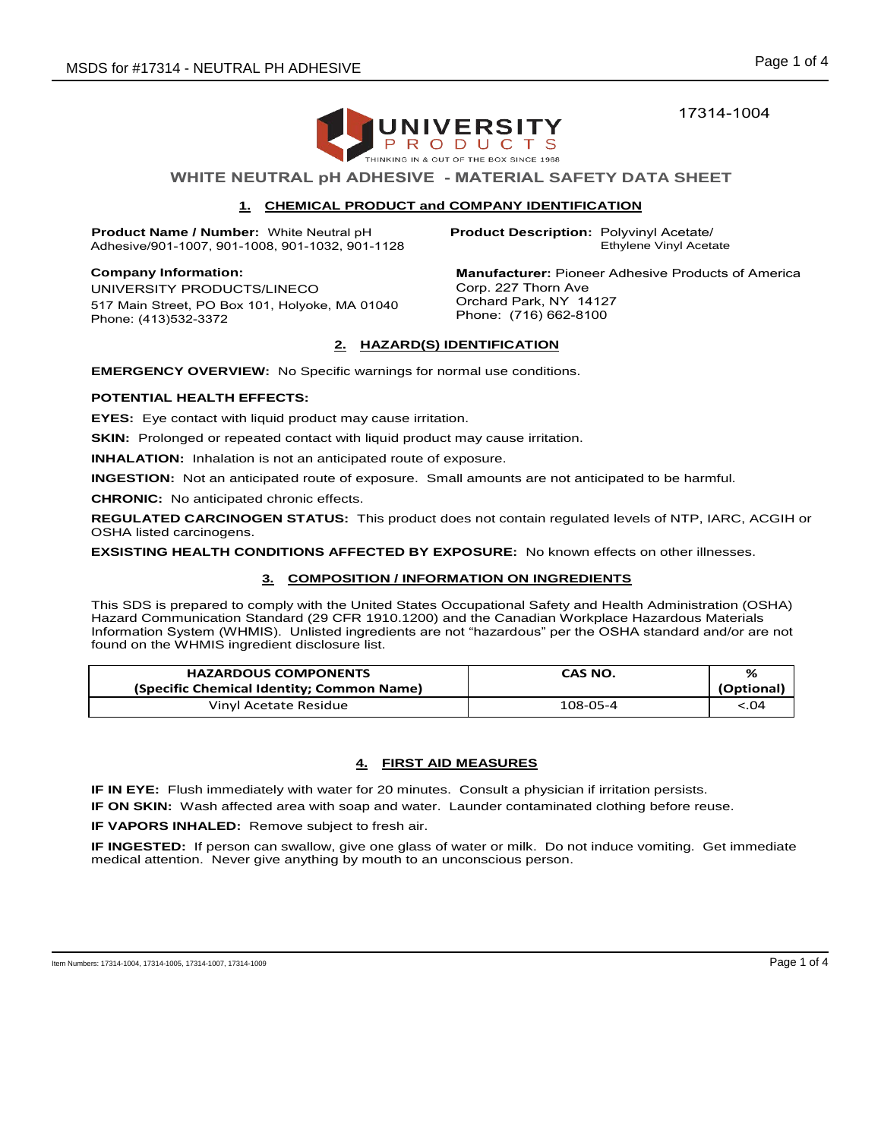17314-1004



# **WHITE NEUTRAL pH ADHESIVE - MATERIAL SAFETY DATA SHEET**

# **1. CHEMICAL PRODUCT and COMPANY IDENTIFICATION**

**Product Name / Number:** White Neutral pH Adhesive/901-1007, 901-1008, 901-1032, 901-1128

**Company Information:**  UNIVERSITY PRODUCTS/LINECO 517 Main Street, PO Box 101, Holyoke, MA 01040 Phone: (413)532-3372

Ethylene Vinyl Acetate **Product Description:** Polyvinyl Acetate/

**Manufacturer:** Pioneer Adhesive Products of America Corp. 227 Thorn Ave Orchard Park, NY 14127 Phone: (716) 662-8100

# **2. HAZARD(S) IDENTIFICATION**

**EMERGENCY OVERVIEW:** No Specific warnings for normal use conditions.

## **POTENTIAL HEALTH EFFECTS:**

**EYES:** Eye contact with liquid product may cause irritation.

**SKIN:** Prolonged or repeated contact with liquid product may cause irritation.

**INHALATION:** Inhalation is not an anticipated route of exposure.

**INGESTION:** Not an anticipated route of exposure. Small amounts are not anticipated to be harmful.

**CHRONIC:** No anticipated chronic effects.

**REGULATED CARCINOGEN STATUS:** This product does not contain regulated levels of NTP, IARC, ACGIH or OSHA listed carcinogens.

**EXSISTING HEALTH CONDITIONS AFFECTED BY EXPOSURE:** No known effects on other illnesses.

# **3. COMPOSITION / INFORMATION ON INGREDIENTS**

This SDS is prepared to comply with the United States Occupational Safety and Health Administration (OSHA) Hazard Communication Standard (29 CFR 1910.1200) and the Canadian Workplace Hazardous Materials Information System (WHMIS). Unlisted ingredients are not "hazardous" per the OSHA standard and/or are not found on the WHMIS ingredient disclosure list.

| <b>HAZARDOUS COMPONENTS</b>               | CAS NO.  | %          |
|-------------------------------------------|----------|------------|
| (Specific Chemical Identity; Common Name) |          | (Optional) |
| Vinyl Acetate Residue                     | 108-05-4 | < 0.04     |

# **4. FIRST AID MEASURES**

**IF IN EYE:** Flush immediately with water for 20 minutes. Consult a physician if irritation persists.

**IF ON SKIN:** Wash affected area with soap and water. Launder contaminated clothing before reuse.

**IF VAPORS INHALED:** Remove subject to fresh air.

**IF INGESTED:** If person can swallow, give one glass of water or milk. Do not induce vomiting. Get immediate medical attention. Never give anything by mouth to an unconscious person.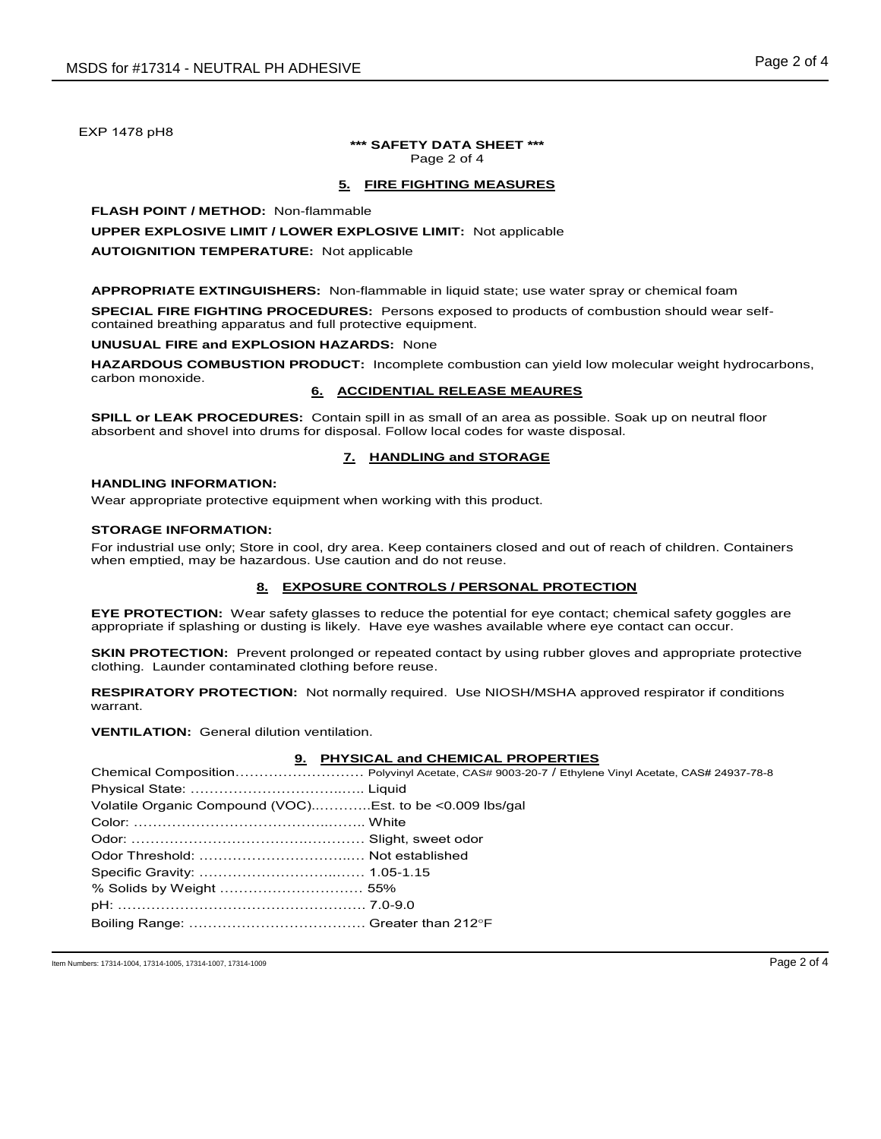EXP 1478 pH8

#### **\*\*\* SAFETY DATA SHEET \*\*\***  Page 2 of 4

# **5. FIRE FIGHTING MEASURES**

**FLASH POINT / METHOD:** Non-flammable

## **UPPER EXPLOSIVE LIMIT / LOWER EXPLOSIVE LIMIT:** Not applicable

#### **AUTOIGNITION TEMPERATURE:** Not applicable

**APPROPRIATE EXTINGUISHERS:** Non-flammable in liquid state; use water spray or chemical foam

**SPECIAL FIRE FIGHTING PROCEDURES:** Persons exposed to products of combustion should wear selfcontained breathing apparatus and full protective equipment.

#### **UNUSUAL FIRE and EXPLOSION HAZARDS:** None

**HAZARDOUS COMBUSTION PRODUCT:** Incomplete combustion can yield low molecular weight hydrocarbons, carbon monoxide.

## **6. ACCIDENTIAL RELEASE MEAURES**

**SPILL or LEAK PROCEDURES:** Contain spill in as small of an area as possible. Soak up on neutral floor absorbent and shovel into drums for disposal. Follow local codes for waste disposal.

## **7. HANDLING and STORAGE**

# **HANDLING INFORMATION:**

Wear appropriate protective equipment when working with this product.

#### **STORAGE INFORMATION:**

For industrial use only; Store in cool, dry area. Keep containers closed and out of reach of children. Containers when emptied, may be hazardous. Use caution and do not reuse.

#### **8. EXPOSURE CONTROLS / PERSONAL PROTECTION**

**EYE PROTECTION:** Wear safety glasses to reduce the potential for eye contact; chemical safety goggles are appropriate if splashing or dusting is likely. Have eye washes available where eye contact can occur.

**SKIN PROTECTION:** Prevent prolonged or repeated contact by using rubber gloves and appropriate protective clothing. Launder contaminated clothing before reuse.

**RESPIRATORY PROTECTION:** Not normally required. Use NIOSH/MSHA approved respirator if conditions warrant.

**VENTILATION:** General dilution ventilation.

#### **9. PHYSICAL and CHEMICAL PROPERTIES**

| Volatile Organic Compound (VOC)Est. to be <0.009 lbs/gal |  |
|----------------------------------------------------------|--|
|                                                          |  |
|                                                          |  |
|                                                          |  |
|                                                          |  |
|                                                          |  |
|                                                          |  |
|                                                          |  |

Item Numbers: 17314-1004, 17314-1005, 17314-1007, 17314-1009 **Page 2 of 4**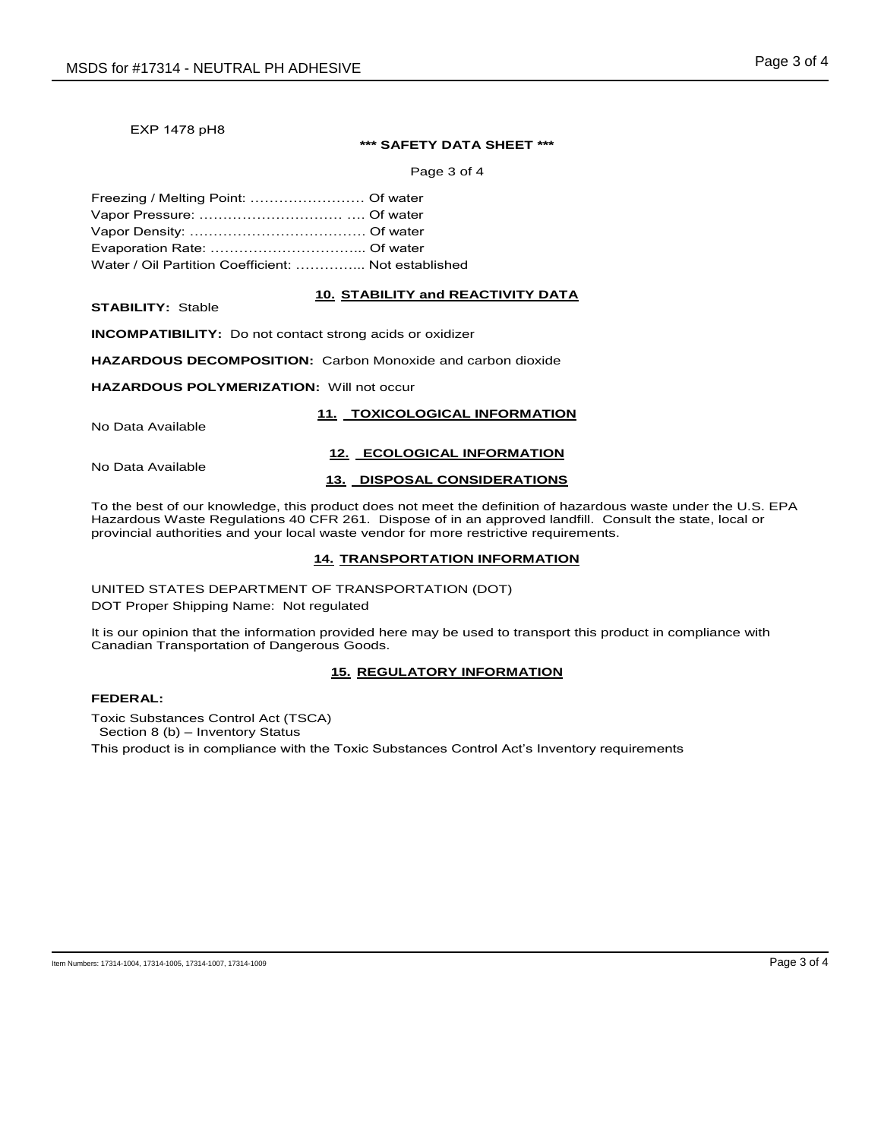#### EXP 1478 pH8

#### **\*\*\* SAFETY DATA SHEET \*\*\***

Page 3 of 4

| Water / Oil Partition Coefficient:  Not established |  |
|-----------------------------------------------------|--|

#### **10. STABILITY and REACTIVITY DATA**

**STABILITY:** Stable

**INCOMPATIBILITY:** Do not contact strong acids or oxidizer

**HAZARDOUS DECOMPOSITION:** Carbon Monoxide and carbon dioxide

#### **HAZARDOUS POLYMERIZATION:** Will not occur

No Data Available

# **11. TOXICOLOGICAL INFORMATION 12. ECOLOGICAL INFORMATION**

No Data Available

#### **13. DISPOSAL CONSIDERATIONS**

To the best of our knowledge, this product does not meet the definition of hazardous waste under the U.S. EPA Hazardous Waste Regulations 40 CFR 261. Dispose of in an approved landfill. Consult the state, local or provincial authorities and your local waste vendor for more restrictive requirements.

#### **14. TRANSPORTATION INFORMATION**

UNITED STATES DEPARTMENT OF TRANSPORTATION (DOT)

DOT Proper Shipping Name: Not regulated

It is our opinion that the information provided here may be used to transport this product in compliance with Canadian Transportation of Dangerous Goods.

# **15. REGULATORY INFORMATION**

## **FEDERAL:**

Toxic Substances Control Act (TSCA) Section 8 (b) – Inventory Status

This product is in compliance with the Toxic Substances Control Act's Inventory requirements